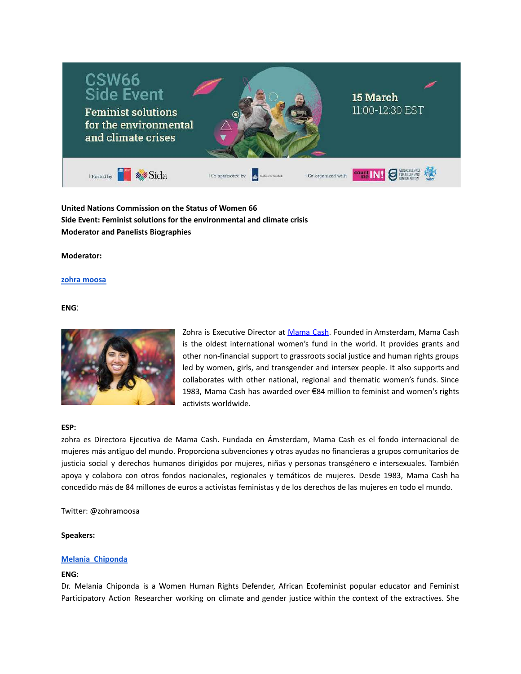

**United Nations Commission on the Status of Women 66 Side Event: Feminist solutions for the environmental and climate crisis Moderator and Panelists Biographies**

<span id="page-0-0"></span>**Moderator:**

#### **zohra [moosa](#page-0-0)**

**ENG**:



Zohra is Executive Director at [Mama](https://www.mamacash.org/) Cash. Founded in Amsterdam, Mama Cash is the oldest international women's fund in the world. It provides grants and other non-financial support to grassroots social justice and human rights groups led by women, girls, and transgender and intersex people. It also supports and collaborates with other national, regional and thematic women's funds. Since 1983, Mama Cash has awarded over €84 million to feminist and women's rights activists worldwide.

#### **ESP:**

zohra es Directora Ejecutiva de Mama Cash. Fundada en Ámsterdam, Mama Cash es el fondo internacional de mujeres más antiguo del mundo. Proporciona subvenciones y otras ayudas no financieras a grupos comunitarios de justicia social y derechos humanos dirigidos por mujeres, niñas y personas transgénero e intersexuales. También apoya y colabora con otros fondos nacionales, regionales y temáticos de mujeres. Desde 1983, Mama Cash ha concedido más de 84 millones de euros a activistas feministas y de los derechos de las mujeres en todo el mundo.

Twitter: @zohramoosa

#### <span id="page-0-1"></span>**Speakers:**

### **Melania [Chiponda](#page-0-1)**

### **ENG:**

Dr. Melania Chiponda is a Women Human Rights Defender, African Ecofeminist popular educator and Feminist Participatory Action Researcher working on climate and gender justice within the context of the extractives. She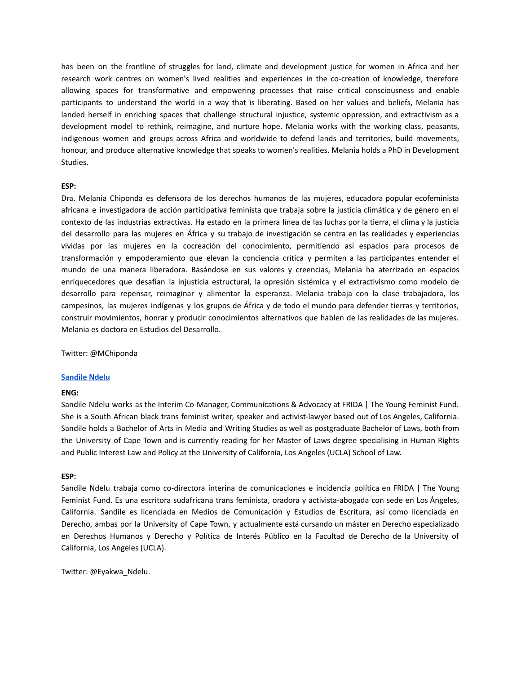has been on the frontline of struggles for land, climate and development justice for women in Africa and her research work centres on women's lived realities and experiences in the co-creation of knowledge, therefore allowing spaces for transformative and empowering processes that raise critical consciousness and enable participants to understand the world in a way that is liberating. Based on her values and beliefs, Melania has landed herself in enriching spaces that challenge structural injustice, systemic oppression, and extractivism as a development model to rethink, reimagine, and nurture hope. Melania works with the working class, peasants, indigenous women and groups across Africa and worldwide to defend lands and territories, build movements, honour, and produce alternative knowledge that speaks to women's realities. Melania holds a PhD in Development Studies.

### **ESP:**

Dra. Melania Chiponda es defensora de los derechos humanos de las mujeres, educadora popular ecofeminista africana e investigadora de acción participativa feminista que trabaja sobre la justicia climática y de género en el contexto de las industrias extractivas. Ha estado en la primera línea de las luchas por la tierra, el clima y la justicia del desarrollo para las mujeres en África y su trabajo de investigación se centra en las realidades y experiencias vividas por las mujeres en la cocreación del conocimiento, permitiendo así espacios para procesos de transformación y empoderamiento que elevan la conciencia crítica y permiten a las participantes entender el mundo de una manera liberadora. Basándose en sus valores y creencias, Melania ha aterrizado en espacios enriquecedores que desafían la injusticia estructural, la opresión sistémica y el extractivismo como modelo de desarrollo para repensar, reimaginar y alimentar la esperanza. Melania trabaja con la clase trabajadora, los campesinos, las mujeres indígenas y los grupos de África y de todo el mundo para defender tierras y territorios, construir movimientos, honrar y producir conocimientos alternativos que hablen de las realidades de las mujeres. Melania es doctora en Estudios del Desarrollo.

<span id="page-1-0"></span>Twitter: @MChiponda

#### **[Sandile](#page-1-0) Ndelu**

# **ENG:**

Sandile Ndelu works as the Interim Co-Manager, Communications & Advocacy at FRIDA | The Young Feminist Fund. She is a South African black trans feminist writer, speaker and activist-lawyer based out of Los Angeles, California. Sandile holds a Bachelor of Arts in Media and Writing Studies as well as postgraduate Bachelor of Laws, both from the University of Cape Town and is currently reading for her Master of Laws degree specialising in Human Rights and Public Interest Law and Policy at the University of California, Los Angeles (UCLA) School of Law.

#### **ESP:**

Sandile Ndelu trabaja como co-directora interina de comunicaciones e incidencia política en FRIDA | The Young Feminist Fund. Es una escritora sudafricana trans feminista, oradora y activista-abogada con sede en Los Ángeles, California. Sandile es licenciada en Medios de Comunicación y Estudios de Escritura, así como licenciada en Derecho, ambas por la University of Cape Town, y actualmente está cursando un máster en Derecho especializado en Derechos Humanos y Derecho y Política de Interés Público en la Facultad de Derecho de la University of California, Los Angeles (UCLA).

Twitter: @Eyakwa\_Ndelu.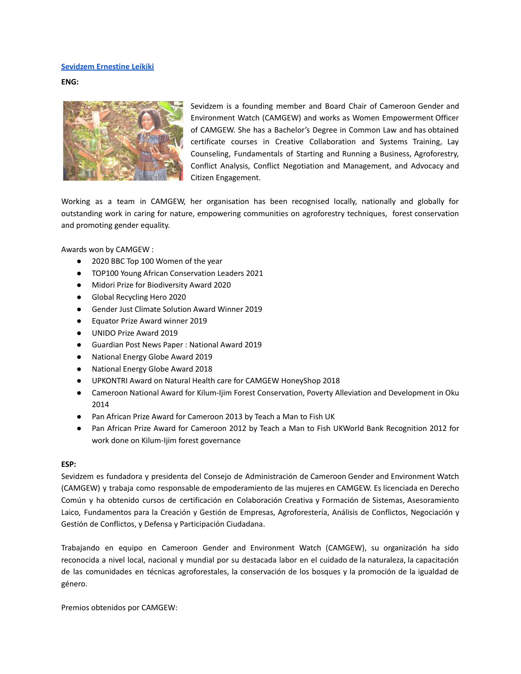#### <span id="page-2-0"></span>**[Sevidzem](#page-2-0) Ernestine Leikiki**

**ENG:**



Sevidzem is a founding member and Board Chair of Cameroon Gender and Environment Watch (CAMGEW) and works as Women Empowerment Officer of CAMGEW. She has a Bachelor's Degree in Common Law and has obtained certificate courses in Creative Collaboration and Systems Training, Lay Counseling, Fundamentals of Starting and Running a Business, Agroforestry, Conflict Analysis, Conflict Negotiation and Management, and Advocacy and Citizen Engagement.

Working as a team in CAMGEW, her organisation has been recognised locally, nationally and globally for outstanding work in caring for nature, empowering communities on agroforestry techniques, forest conservation and promoting gender equality.

Awards won by CAMGEW :

- 2020 BBC Top 100 Women of the year
- TOP100 Young African Conservation Leaders 2021
- Midori Prize for Biodiversity Award 2020
- Global Recycling Hero 2020
- Gender Just Climate Solution Award Winner 2019
- Equator Prize Award winner 2019
- UNIDO Prize Award 2019
- Guardian Post News Paper : National Award 2019
- National Energy Globe Award 2019
- National Energy Globe Award 2018
- UPKONTRI Award on Natural Health care for CAMGEW HoneyShop 2018
- Cameroon National Award for Kilum-Ijim Forest Conservation, Poverty Alleviation and Development in Oku 2014
- Pan African Prize Award for Cameroon 2013 by Teach a Man to Fish UK
- Pan African Prize Award for Cameroon 2012 by Teach a Man to Fish UKWorld Bank Recognition 2012 for work done on Kilum-Ijim forest governance

### **ESP:**

Sevidzem es fundadora y presidenta del Consejo de Administración de Cameroon Gender and Environment Watch (CAMGEW) y trabaja como responsable de empoderamiento de las mujeres en CAMGEW. Es licenciada en Derecho Común y ha obtenido cursos de certificación en Colaboración Creativa y Formación de Sistemas, Asesoramiento Laico, Fundamentos para la Creación y Gestión de Empresas, Agroforestería, Análisis de Conflictos, Negociación y Gestión de Conflictos, y Defensa y Participación Ciudadana.

Trabajando en equipo en Cameroon Gender and Environment Watch (CAMGEW), su organización ha sido reconocida a nivel local, nacional y mundial por su destacada labor en el cuidado de la naturaleza, la capacitación de las comunidades en técnicas agroforestales, la conservación de los bosques y la promoción de la igualdad de género.

Premios obtenidos por CAMGEW: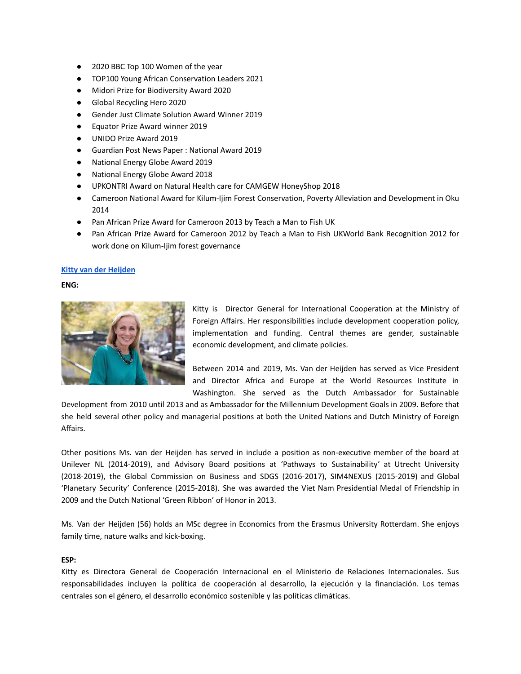- 2020 BBC Top 100 Women of the year
- TOP100 Young African Conservation Leaders 2021
- Midori Prize for Biodiversity Award 2020
- Global Recycling Hero 2020
- Gender Just Climate Solution Award Winner 2019
- Equator Prize Award winner 2019
- UNIDO Prize Award 2019
- Guardian Post News Paper : National Award 2019
- **National Energy Globe Award 2019**
- National Energy Globe Award 2018
- UPKONTRI Award on Natural Health care for CAMGEW HoneyShop 2018
- Cameroon National Award for Kilum-Ijim Forest Conservation, Poverty Alleviation and Development in Oku 2014
- Pan African Prize Award for Cameroon 2013 by Teach a Man to Fish UK
- Pan African Prize Award for Cameroon 2012 by Teach a Man to Fish UKWorld Bank Recognition 2012 for work done on Kilum-Ijim forest governance

# <span id="page-3-0"></span>**Kitty van der [Heijden](#page-3-0)**

# **ENG:**



Kitty is Director General for International Cooperation at the Ministry of Foreign Affairs. Her responsibilities include development cooperation policy, implementation and funding. Central themes are gender, sustainable economic development, and climate policies.

Between 2014 and 2019, Ms. Van der Heijden has served as Vice President and Director Africa and Europe at the World Resources Institute in Washington. She served as the Dutch Ambassador for Sustainable

Development from 2010 until 2013 and as Ambassador for the Millennium Development Goals in 2009. Before that she held several other policy and managerial positions at both the United Nations and Dutch Ministry of Foreign Affairs.

Other positions Ms. van der Heijden has served in include a position as non-executive member of the board at Unilever NL (2014-2019), and Advisory Board positions at 'Pathways to Sustainability' at Utrecht University (2018-2019), the Global Commission on Business and SDGS (2016-2017), SIM4NEXUS (2015-2019) and Global 'Planetary Security' Conference (2015-2018). She was awarded the Viet Nam Presidential Medal of Friendship in 2009 and the Dutch National 'Green Ribbon' of Honor in 2013.

Ms. Van der Heijden (56) holds an MSc degree in Economics from the Erasmus University Rotterdam. She enjoys family time, nature walks and kick-boxing.

# **ESP:**

Kitty es Directora General de Cooperación Internacional en el Ministerio de Relaciones Internacionales. Sus responsabilidades incluyen la política de cooperación al desarrollo, la ejecución y la financiación. Los temas centrales son el género, el desarrollo económico sostenible y las políticas climáticas.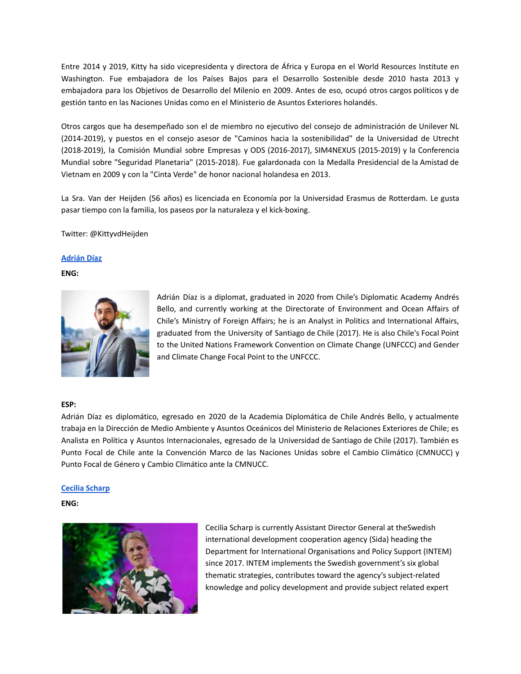Entre 2014 y 2019, Kitty ha sido vicepresidenta y directora de África y Europa en el World Resources Institute en Washington. Fue embajadora de los Países Bajos para el Desarrollo Sostenible desde 2010 hasta 2013 y embajadora para los Objetivos de Desarrollo del Milenio en 2009. Antes de eso, ocupó otros cargos políticos y de gestión tanto en las Naciones Unidas como en el Ministerio de Asuntos Exteriores holandés.

Otros cargos que ha desempeñado son el de miembro no ejecutivo del consejo de administración de Unilever NL (2014-2019), y puestos en el consejo asesor de "Caminos hacia la sostenibilidad" de la Universidad de Utrecht (2018-2019), la Comisión Mundial sobre Empresas y ODS (2016-2017), SIM4NEXUS (2015-2019) y la Conferencia Mundial sobre "Seguridad Planetaria" (2015-2018). Fue galardonada con la Medalla Presidencial de la Amistad de Vietnam en 2009 y con la "Cinta Verde" de honor nacional holandesa en 2013.

La Sra. Van der Heijden (56 años) es licenciada en Economía por la Universidad Erasmus de Rotterdam. Le gusta pasar tiempo con la familia, los paseos por la naturaleza y el kick-boxing.

<span id="page-4-0"></span>Twitter: @KittyvdHeijden

# **[Adrián](#page-4-0) Díaz**

**ENG:**



Adrián Díaz is a diplomat, graduated in 2020 from Chile's Diplomatic Academy Andrés Bello, and currently working at the Directorate of Environment and Ocean Affairs of Chile's Ministry of Foreign Affairs; he is an Analyst in Politics and International Affairs, graduated from the University of Santiago de Chile (2017). He is also Chile's Focal Point to the United Nations Framework Convention on Climate Change (UNFCCC) and Gender and Climate Change Focal Point to the UNFCCC.

### **ESP:**

Adrián Díaz es diplomático, egresado en 2020 de la Academia Diplomática de Chile Andrés Bello, y actualmente trabaja en la Dirección de Medio Ambiente y Asuntos Oceánicos del Ministerio de Relaciones Exteriores de Chile; es Analista en Política y Asuntos Internacionales, egresado de la Universidad de Santiago de Chile (2017). También es Punto Focal de Chile ante la Convención Marco de las Naciones Unidas sobre el Cambio Climático (CMNUCC) y Punto Focal de Género y Cambio Climático ante la CMNUCC.

### **Cecilia Scharp**

### **ENG:**



Cecilia Scharp is currently Assistant Director General at theSwedish international development cooperation agency (Sida) heading the Department for International Organisations and Policy Support (INTEM) since 2017. INTEM implements the Swedish government's six global thematic strategies, contributes toward the agency's subject-related knowledge and policy development and provide subject related expert